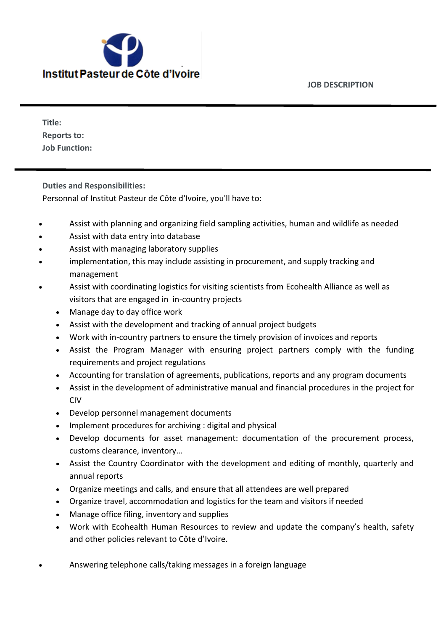**JOB DESCRIPTION**



**Title: Reports to: Job Function:**

**Duties and Responsibilities:**

Personnal of Institut Pasteur de Côte d'Ivoire, you'll have to:

- Assist with planning and organizing field sampling activities, human and wildlife as needed
- Assist with data entry into database
- Assist with managing laboratory supplies
- implementation, this may include assisting in procurement, and supply tracking and management
- Assist with coordinating logistics for visiting scientists from Ecohealth Alliance as well as visitors that are engaged in in-country projects
	- Manage day to day office work
	- Assist with the development and tracking of annual project budgets
	- Work with in-country partners to ensure the timely provision of invoices and reports
	- Assist the Program Manager with ensuring project partners comply with the funding requirements and project regulations
	- Accounting for translation of agreements, publications, reports and any program documents
	- Assist in the development of administrative manual and financial procedures in the project for CIV
	- Develop personnel management documents
	- Implement procedures for archiving : digital and physical
	- Develop documents for asset management: documentation of the procurement process, customs clearance, inventory…
	- Assist the Country Coordinator with the development and editing of monthly, quarterly and annual reports
	- Organize meetings and calls, and ensure that all attendees are well prepared
	- Organize travel, accommodation and logistics for the team and visitors if needed
	- Manage office filing, inventory and supplies
	- Work with Ecohealth Human Resources to review and update the company's health, safety and other policies relevant to Côte d'Ivoire.
- Answering telephone calls/taking messages in a foreign language